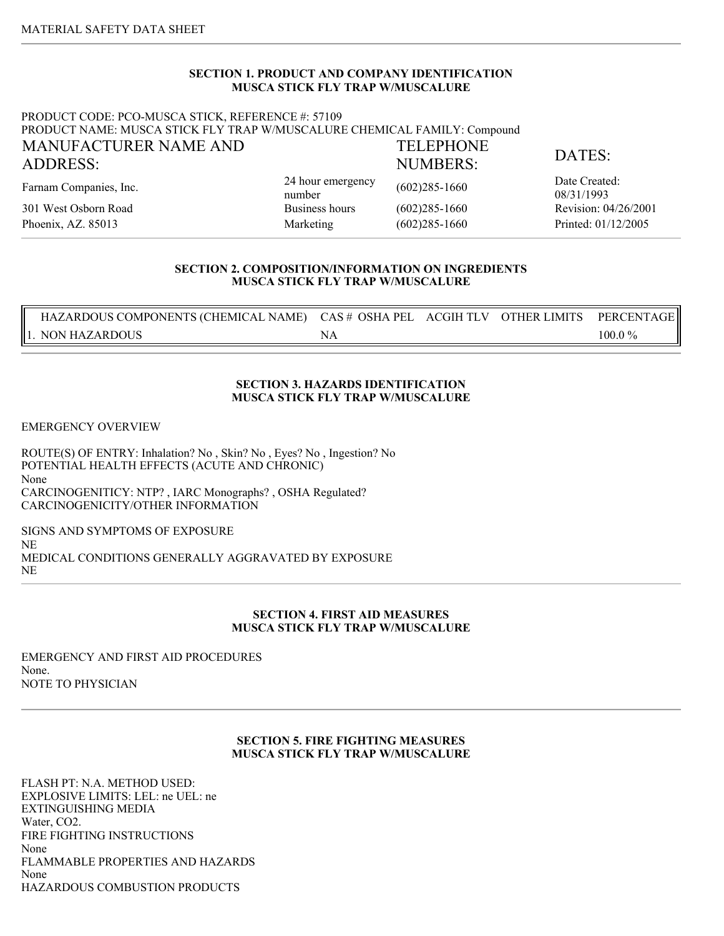# **SECTION 1. PRODUCT AND COMPANY IDENTIFICATION MUSCA STICK FLY TRAP W/MUSCALURE**

#### PRODUCT CODE: PCO-MUSCA STICK, REFERENCE #: 57109 PRODUCT NAME: MUSCA STICK FLY TRAP W/MUSCALURE CHEMICAL FAMILY: Compound MANUFACTURER NAME AND ADDRESS: TELEPHONE NUMBERS: DATES:

Farnam Companies, Inc. 24 hour emergency of the state of  $\frac{24 \text{ hour}}{24 \text{ hour}}$ 

301 West Osborn Road Business hours (602)285-1660 Revision: 04/26/2001 Phoenix, AZ. 85013 Marketing (602)285-1660 Printed: 01/12/2005

24 hour emergency (602)285-1660 Date Created:

08/31/1993

# **SECTION 2. COMPOSITION/INFORMATION ON INGREDIENTS MUSCA STICK FLY TRAP W/MUSCALURE**

| HAZARDOUS COMPONENTS (CHEMICAL NAME) CAS # OSHA PEL ACGIH TLV |  | OTHER LIMITS | PERCENTAGE |
|---------------------------------------------------------------|--|--------------|------------|
| '. NON HAZARDOUS                                              |  |              | 100.0 %    |

# **SECTION 3. HAZARDS IDENTIFICATION MUSCA STICK FLY TRAP W/MUSCALURE**

EMERGENCY OVERVIEW

ROUTE(S) OF ENTRY: Inhalation? No , Skin? No , Eyes? No , Ingestion? No POTENTIAL HEALTH EFFECTS (ACUTE AND CHRONIC) None CARCINOGENITICY: NTP? , IARC Monographs? , OSHA Regulated? CARCINOGENICITY/OTHER INFORMATION

SIGNS AND SYMPTOMS OF EXPOSURE NE MEDICAL CONDITIONS GENERALLY AGGRAVATED BY EXPOSURE NE

# **SECTION 4. FIRST AID MEASURES MUSCA STICK FLY TRAP W/MUSCALURE**

EMERGENCY AND FIRST AID PROCEDURES None. NOTE TO PHYSICIAN

## **SECTION 5. FIRE FIGHTING MEASURES MUSCA STICK FLY TRAP W/MUSCALURE**

FLASH PT: N.A. METHOD USED: EXPLOSIVE LIMITS: LEL: ne UEL: ne EXTINGUISHING MEDIA Water, CO2. FIRE FIGHTING INSTRUCTIONS None FLAMMABLE PROPERTIES AND HAZARDS None HAZARDOUS COMBUSTION PRODUCTS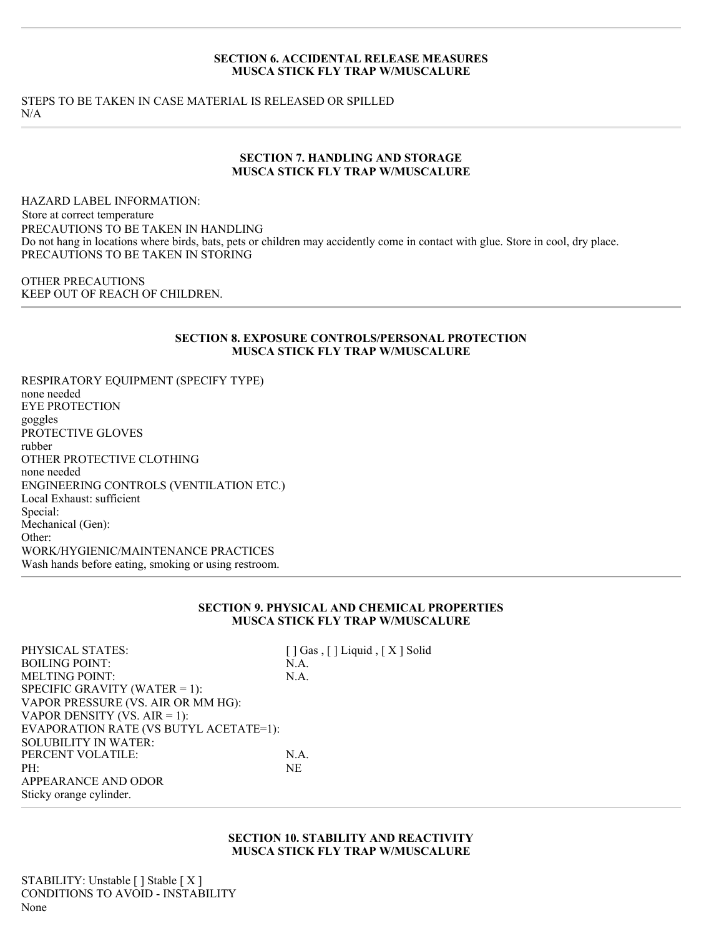#### **SECTION 6. ACCIDENTAL RELEASE MEASURES MUSCA STICK FLY TRAP W/MUSCALURE**

STEPS TO BE TAKEN IN CASE MATERIAL IS RELEASED OR SPILLED N/A

#### **SECTION 7. HANDLING AND STORAGE MUSCA STICK FLY TRAP W/MUSCALURE**

HAZARD LABEL INFORMATION: PRECAUTIONS TO BE TAKEN IN HANDLING Do not hang in locations where birds, bats, pets or children may accidently come in contact with glue. Store in cool, dry place. PRECAUTIONS TO BE TAKEN IN STORING Store at correct temperature

OTHER PRECAUTIONS KEEP OUT OF REACH OF CHILDREN.

## **SECTION 8. EXPOSURE CONTROLS/PERSONAL PROTECTION MUSCA STICK FLY TRAP W/MUSCALURE**

RESPIRATORY EQUIPMENT (SPECIFY TYPE) none needed EYE PROTECTION goggles PROTECTIVE GLOVES rubber OTHER PROTECTIVE CLOTHING none needed ENGINEERING CONTROLS (VENTILATION ETC.) Local Exhaust: sufficient Special: Mechanical (Gen): Other: WORK/HYGIENIC/MAINTENANCE PRACTICES Wash hands before eating, smoking or using restroom.

#### **SECTION 9. PHYSICAL AND CHEMICAL PROPERTIES MUSCA STICK FLY TRAP W/MUSCALURE**

APPEARANCE AND ODOR Sticky orange cylinder. PHYSICAL STATES: [ ] Gas , [ ] Liquid , [ X ] Solid BOILING POINT: N.A. MELTING POINT: N.A. SPECIFIC GRAVITY (WATER = 1): VAPOR PRESSURE (VS. AIR OR MM HG): VAPOR DENSITY (VS. AIR = 1): EVAPORATION RATE (VS BUTYL ACETATE=1): SOLUBILITY IN WATER: PERCENT VOLATILE: N.A. PH: NE

> **SECTION 10. STABILITY AND REACTIVITY MUSCA STICK FLY TRAP W/MUSCALURE**